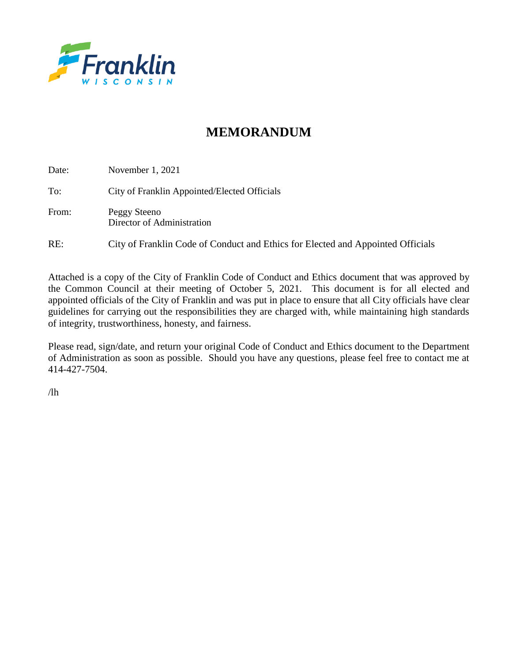

# **MEMORANDUM**

| Date: | November $1, 2021$                                                              |
|-------|---------------------------------------------------------------------------------|
| To:   | City of Franklin Appointed/Elected Officials                                    |
| From: | Peggy Steeno<br>Director of Administration                                      |
| RE:   | City of Franklin Code of Conduct and Ethics for Elected and Appointed Officials |

Attached is a copy of the City of Franklin Code of Conduct and Ethics document that was approved by the Common Council at their meeting of October 5, 2021. This document is for all elected and appointed officials of the City of Franklin and was put in place to ensure that all City officials have clear guidelines for carrying out the responsibilities they are charged with, while maintaining high standards of integrity, trustworthiness, honesty, and fairness.

Please read, sign/date, and return your original Code of Conduct and Ethics document to the Department of Administration as soon as possible. Should you have any questions, please feel free to contact me at 414-427-7504.

 $/lh$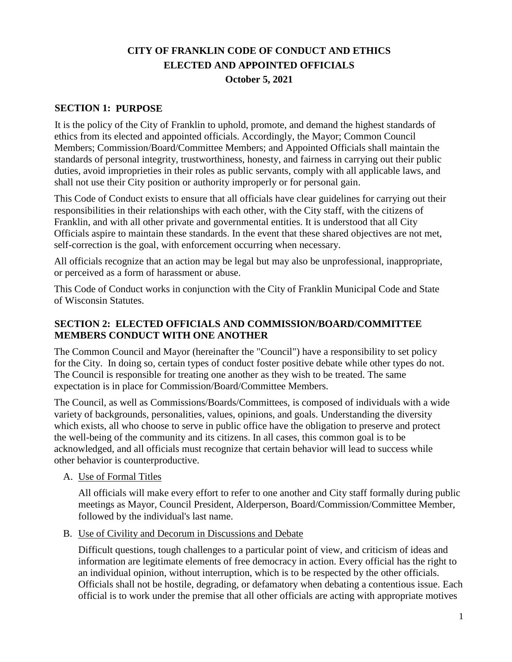# **CITY OF FRANKLIN CODE OF CONDUCT AND ETHICS ELECTED AND APPOINTED OFFICIALS October 5, 2021**

#### **SECTION 1: PURPOSE**

It is the policy of the City of Franklin to uphold, promote, and demand the highest standards of ethics from its elected and appointed officials. Accordingly, the Mayor; Common Council Members; Commission/Board/Committee Members; and Appointed Officials shall maintain the standards of personal integrity, trustworthiness, honesty, and fairness in carrying out their public duties, avoid improprieties in their roles as public servants, comply with all applicable laws, and shall not use their City position or authority improperly or for personal gain.

This Code of Conduct exists to ensure that all officials have clear guidelines for carrying out their responsibilities in their relationships with each other, with the City staff, with the citizens of Franklin, and with all other private and governmental entities. It is understood that all City Officials aspire to maintain these standards. In the event that these shared objectives are not met, self-correction is the goal, with enforcement occurring when necessary.

All officials recognize that an action may be legal but may also be unprofessional, inappropriate, or perceived as a form of harassment or abuse.

This Code of Conduct works in conjunction with the City of Franklin Municipal Code and State of Wisconsin Statutes.

#### **SECTION 2: ELECTED OFFICIALS AND COMMISSION/BOARD/COMMITTEE MEMBERS CONDUCT WITH ONE ANOTHER**

The Common Council and Mayor (hereinafter the "Council") have a responsibility to set policy for the City. In doing so, certain types of conduct foster positive debate while other types do not. The Council is responsible for treating one another as they wish to be treated. The same expectation is in place for Commission/Board/Committee Members.

The Council, as well as Commissions/Boards/Committees, is composed of individuals with a wide variety of backgrounds, personalities, values, opinions, and goals. Understanding the diversity which exists, all who choose to serve in public office have the obligation to preserve and protect the well-being of the community and its citizens. In all cases, this common goal is to be acknowledged, and all officials must recognize that certain behavior will lead to success while other behavior is counterproductive.

#### A. Use of Formal Titles

All officials will make every effort to refer to one another and City staff formally during public meetings as Mayor, Council President, Alderperson, Board/Commission/Committee Member, followed by the individual's last name.

B. Use of Civility and Decorum in Discussions and Debate

Difficult questions, tough challenges to a particular point of view, and criticism of ideas and information are legitimate elements of free democracy in action. Every official has the right to an individual opinion, without interruption, which is to be respected by the other officials. Officials shall not be hostile, degrading, or defamatory when debating a contentious issue. Each official is to work under the premise that all other officials are acting with appropriate motives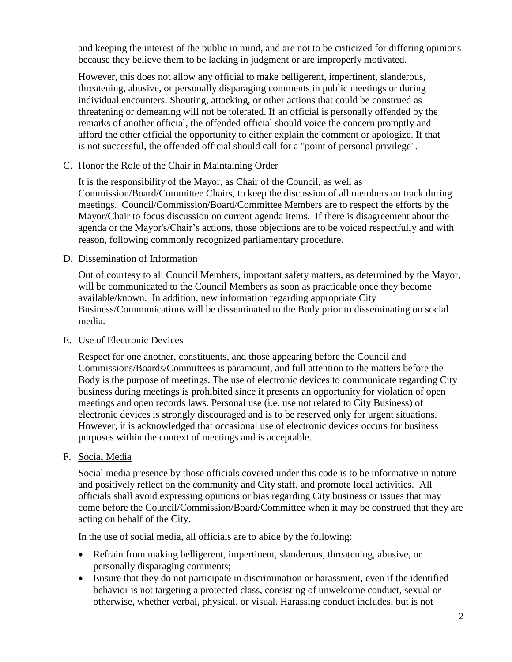and keeping the interest of the public in mind, and are not to be criticized for differing opinions because they believe them to be lacking in judgment or are improperly motivated.

However, this does not allow any official to make belligerent, impertinent, slanderous, threatening, abusive, or personally disparaging comments in public meetings or during individual encounters. Shouting, attacking, or other actions that could be construed as threatening or demeaning will not be tolerated. If an official is personally offended by the remarks of another official, the offended official should voice the concern promptly and afford the other official the opportunity to either explain the comment or apologize. If that is not successful, the offended official should call for a "point of personal privilege".

#### C. Honor the Role of the Chair in Maintaining Order

It is the responsibility of the Mayor, as Chair of the Council, as well as Commission/Board/Committee Chairs, to keep the discussion of all members on track during meetings. Council/Commission/Board/Committee Members are to respect the efforts by the Mayor/Chair to focus discussion on current agenda items. If there is disagreement about the agenda or the Mayor's/Chair's actions, those objections are to be voiced respectfully and with reason, following commonly recognized parliamentary procedure.

#### D. Dissemination of Information

Out of courtesy to all Council Members, important safety matters, as determined by the Mayor, will be communicated to the Council Members as soon as practicable once they become available/known. In addition, new information regarding appropriate City Business/Communications will be disseminated to the Body prior to disseminating on social media.

#### E. Use of Electronic Devices

Respect for one another, constituents, and those appearing before the Council and Commissions/Boards/Committees is paramount, and full attention to the matters before the Body is the purpose of meetings. The use of electronic devices to communicate regarding City business during meetings is prohibited since it presents an opportunity for violation of open meetings and open records laws. Personal use (i.e. use not related to City Business) of electronic devices is strongly discouraged and is to be reserved only for urgent situations. However, it is acknowledged that occasional use of electronic devices occurs for business purposes within the context of meetings and is acceptable.

#### F. Social Media

Social media presence by those officials covered under this code is to be informative in nature and positively reflect on the community and City staff, and promote local activities. All officials shall avoid expressing opinions or bias regarding City business or issues that may come before the Council/Commission/Board/Committee when it may be construed that they are acting on behalf of the City.

In the use of social media, all officials are to abide by the following:

- Refrain from making belligerent, impertinent, slanderous, threatening, abusive, or personally disparaging comments;
- Ensure that they do not participate in discrimination or harassment, even if the identified behavior is not targeting a protected class, consisting of unwelcome conduct, sexual or otherwise, whether verbal, physical, or visual. Harassing conduct includes, but is not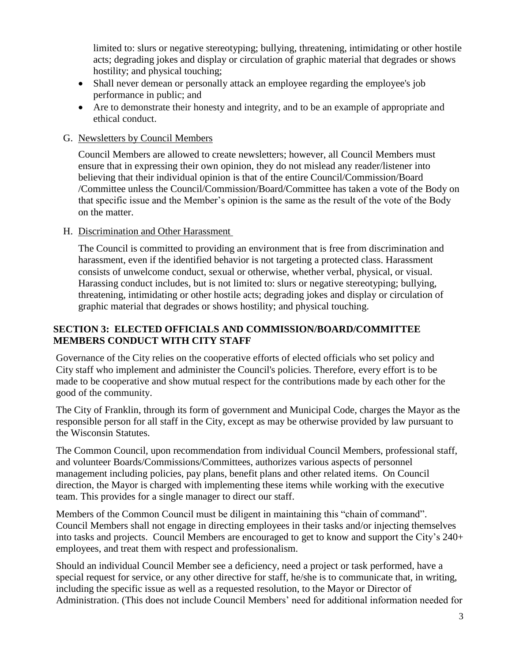limited to: slurs or negative stereotyping; bullying, threatening, intimidating or other hostile acts; degrading jokes and display or circulation of graphic material that degrades or shows hostility; and physical touching;

- Shall never demean or personally attack an employee regarding the employee's job performance in public; and
- Are to demonstrate their honesty and integrity, and to be an example of appropriate and ethical conduct.

## G. Newsletters by Council Members

Council Members are allowed to create newsletters; however, all Council Members must ensure that in expressing their own opinion, they do not mislead any reader/listener into believing that their individual opinion is that of the entire Council/Commission/Board /Committee unless the Council/Commission/Board/Committee has taken a vote of the Body on that specific issue and the Member's opinion is the same as the result of the vote of the Body on the matter.

## H. Discrimination and Other Harassment

The Council is committed to providing an environment that is free from discrimination and harassment, even if the identified behavior is not targeting a protected class. Harassment consists of unwelcome conduct, sexual or otherwise, whether verbal, physical, or visual. Harassing conduct includes, but is not limited to: slurs or negative stereotyping; bullying, threatening, intimidating or other hostile acts; degrading jokes and display or circulation of graphic material that degrades or shows hostility; and physical touching.

## **SECTION 3: ELECTED OFFICIALS AND COMMISSION/BOARD/COMMITTEE MEMBERS CONDUCT WITH CITY STAFF**

Governance of the City relies on the cooperative efforts of elected officials who set policy and City staff who implement and administer the Council's policies. Therefore, every effort is to be made to be cooperative and show mutual respect for the contributions made by each other for the good of the community.

The City of Franklin, through its form of government and Municipal Code, charges the Mayor as the responsible person for all staff in the City, except as may be otherwise provided by law pursuant to the Wisconsin Statutes.

The Common Council, upon recommendation from individual Council Members, professional staff, and volunteer Boards/Commissions/Committees, authorizes various aspects of personnel management including policies, pay plans, benefit plans and other related items. On Council direction, the Mayor is charged with implementing these items while working with the executive team. This provides for a single manager to direct our staff.

Members of the Common Council must be diligent in maintaining this "chain of command". Council Members shall not engage in directing employees in their tasks and/or injecting themselves into tasks and projects. Council Members are encouraged to get to know and support the City's 240+ employees, and treat them with respect and professionalism.

Should an individual Council Member see a deficiency, need a project or task performed, have a special request for service, or any other directive for staff, he/she is to communicate that, in writing, including the specific issue as well as a requested resolution, to the Mayor or Director of Administration. (This does not include Council Members' need for additional information needed for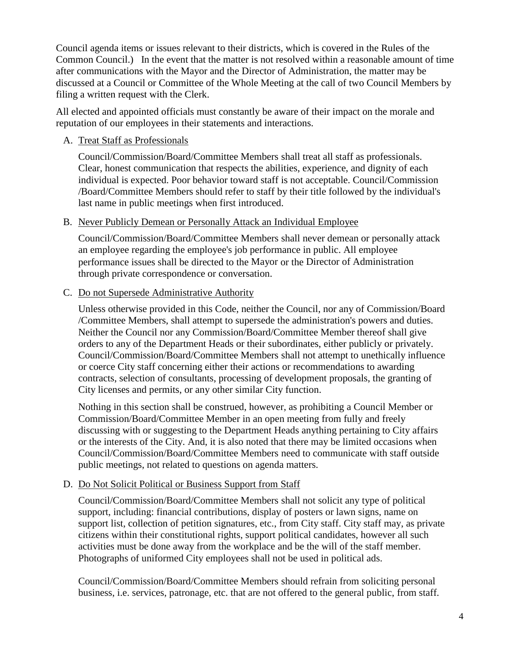Council agenda items or issues relevant to their districts, which is covered in the Rules of the Common Council.) In the event that the matter is not resolved within a reasonable amount of time after communications with the Mayor and the Director of Administration, the matter may be discussed at a Council or Committee of the Whole Meeting at the call of two Council Members by filing a written request with the Clerk.

All elected and appointed officials must constantly be aware of their impact on the morale and reputation of our employees in their statements and interactions.

#### A. Treat Staff as Professionals

Council/Commission/Board/Committee Members shall treat all staff as professionals. Clear, honest communication that respects the abilities, experience, and dignity of each individual is expected. Poor behavior toward staff is not acceptable. Council/Commission /Board/Committee Members should refer to staff by their title followed by the individual's last name in public meetings when first introduced.

#### B. Never Publicly Demean or Personally Attack an Individual Employee

Council/Commission/Board/Committee Members shall never demean or personally attack an employee regarding the employee's job performance in public. All employee performance issues shall be directed to the Mayor or the Director of Administration through private correspondence or conversation.

#### C. Do not Supersede Administrative Authority

Unless otherwise provided in this Code, neither the Council, nor any of Commission/Board /Committee Members, shall attempt to supersede the administration's powers and duties. Neither the Council nor any Commission/Board/Committee Member thereof shall give orders to any of the Department Heads or their subordinates, either publicly or privately. Council/Commission/Board/Committee Members shall not attempt to unethically influence or coerce City staff concerning either their actions or recommendations to awarding contracts, selection of consultants, processing of development proposals, the granting of City licenses and permits, or any other similar City function.

Nothing in this section shall be construed, however, as prohibiting a Council Member or Commission/Board/Committee Member in an open meeting from fully and freely discussing with or suggesting to the Department Heads anything pertaining to City affairs or the interests of the City. And, it is also noted that there may be limited occasions when Council/Commission/Board/Committee Members need to communicate with staff outside public meetings, not related to questions on agenda matters.

## D. Do Not Solicit Political or Business Support from Staff

Council/Commission/Board/Committee Members shall not solicit any type of political support, including: financial contributions, display of posters or lawn signs, name on support list, collection of petition signatures, etc., from City staff. City staff may, as private citizens within their constitutional rights, support political candidates, however all such activities must be done away from the workplace and be the will of the staff member. Photographs of uniformed City employees shall not be used in political ads.

Council/Commission/Board/Committee Members should refrain from soliciting personal business, i.e. services, patronage, etc. that are not offered to the general public, from staff.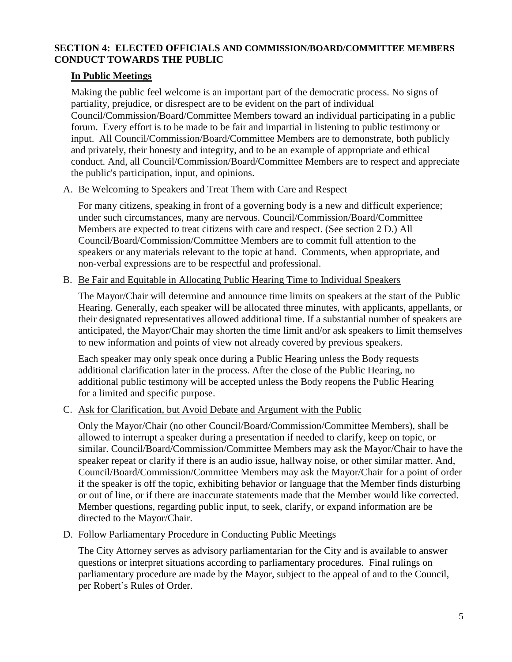## **SECTION 4: ELECTED OFFICIALS AND COMMISSION/BOARD/COMMITTEE MEMBERS CONDUCT TOWARDS THE PUBLIC**

## **In Public Meetings**

Making the public feel welcome is an important part of the democratic process. No signs of partiality, prejudice, or disrespect are to be evident on the part of individual Council/Commission/Board/Committee Members toward an individual participating in a public forum. Every effort is to be made to be fair and impartial in listening to public testimony or input. All Council/Commission/Board/Committee Members are to demonstrate, both publicly and privately, their honesty and integrity, and to be an example of appropriate and ethical conduct. And, all Council/Commission/Board/Committee Members are to respect and appreciate the public's participation, input, and opinions.

## A. Be Welcoming to Speakers and Treat Them with Care and Respect

For many citizens, speaking in front of a governing body is a new and difficult experience; under such circumstances, many are nervous. Council/Commission/Board/Committee Members are expected to treat citizens with care and respect. (See section 2 D.) All Council/Board/Commission/Committee Members are to commit full attention to the speakers or any materials relevant to the topic at hand. Comments, when appropriate, and non-verbal expressions are to be respectful and professional.

## B. Be Fair and Equitable in Allocating Public Hearing Time to Individual Speakers

The Mayor/Chair will determine and announce time limits on speakers at the start of the Public Hearing. Generally, each speaker will be allocated three minutes, with applicants, appellants, or their designated representatives allowed additional time. If a substantial number of speakers are anticipated, the Mayor/Chair may shorten the time limit and/or ask speakers to limit themselves to new information and points of view not already covered by previous speakers.

Each speaker may only speak once during a Public Hearing unless the Body requests additional clarification later in the process. After the close of the Public Hearing, no additional public testimony will be accepted unless the Body reopens the Public Hearing for a limited and specific purpose.

## C. Ask for Clarification, but Avoid Debate and Argument with the Public

Only the Mayor/Chair (no other Council/Board/Commission/Committee Members), shall be allowed to interrupt a speaker during a presentation if needed to clarify, keep on topic, or similar. Council/Board/Commission/Committee Members may ask the Mayor/Chair to have the speaker repeat or clarify if there is an audio issue, hallway noise, or other similar matter. And, Council/Board/Commission/Committee Members may ask the Mayor/Chair for a point of order if the speaker is off the topic, exhibiting behavior or language that the Member finds disturbing or out of line, or if there are inaccurate statements made that the Member would like corrected. Member questions, regarding public input, to seek, clarify, or expand information are be directed to the Mayor/Chair.

## D. Follow Parliamentary Procedure in Conducting Public Meetings

The City Attorney serves as advisory parliamentarian for the City and is available to answer questions or interpret situations according to parliamentary procedures. Final rulings on parliamentary procedure are made by the Mayor, subject to the appeal of and to the Council, per Robert's Rules of Order.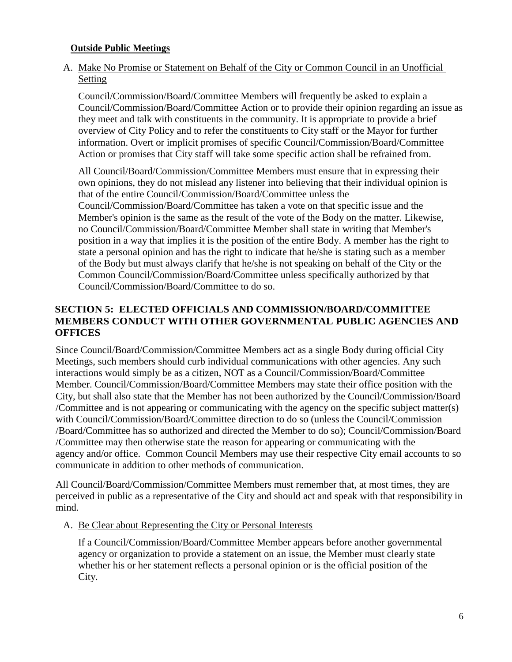#### **Outside Public Meetings**

## A. Make No Promise or Statement on Behalf of the City or Common Council in an Unofficial Setting

Council/Commission/Board/Committee Members will frequently be asked to explain a Council/Commission/Board/Committee Action or to provide their opinion regarding an issue as they meet and talk with constituents in the community. It is appropriate to provide a brief overview of City Policy and to refer the constituents to City staff or the Mayor for further information. Overt or implicit promises of specific Council/Commission/Board/Committee Action or promises that City staff will take some specific action shall be refrained from.

All Council/Board/Commission/Committee Members must ensure that in expressing their own opinions, they do not mislead any listener into believing that their individual opinion is that of the entire Council/Commission/Board/Committee unless the Council/Commission/Board/Committee has taken a vote on that specific issue and the Member's opinion is the same as the result of the vote of the Body on the matter. Likewise, no Council/Commission/Board/Committee Member shall state in writing that Member's position in a way that implies it is the position of the entire Body. A member has the right to state a personal opinion and has the right to indicate that he/she is stating such as a member of the Body but must always clarify that he/she is not speaking on behalf of the City or the Common Council/Commission/Board/Committee unless specifically authorized by that Council/Commission/Board/Committee to do so.

## **SECTION 5: ELECTED OFFICIALS AND COMMISSION/BOARD/COMMITTEE MEMBERS CONDUCT WITH OTHER GOVERNMENTAL PUBLIC AGENCIES AND OFFICES**

Since Council/Board/Commission/Committee Members act as a single Body during official City Meetings, such members should curb individual communications with other agencies. Any such interactions would simply be as a citizen, NOT as a Council/Commission/Board/Committee Member. Council/Commission/Board/Committee Members may state their office position with the City, but shall also state that the Member has not been authorized by the Council/Commission/Board /Committee and is not appearing or communicating with the agency on the specific subject matter(s) with Council/Commission/Board/Committee direction to do so (unless the Council/Commission /Board/Committee has so authorized and directed the Member to do so); Council/Commission/Board /Committee may then otherwise state the reason for appearing or communicating with the agency and/or office. Common Council Members may use their respective City email accounts to so communicate in addition to other methods of communication.

All Council/Board/Commission/Committee Members must remember that, at most times, they are perceived in public as a representative of the City and should act and speak with that responsibility in mind.

#### A. Be Clear about Representing the City or Personal Interests

If a Council/Commission/Board/Committee Member appears before another governmental agency or organization to provide a statement on an issue, the Member must clearly state whether his or her statement reflects a personal opinion or is the official position of the City.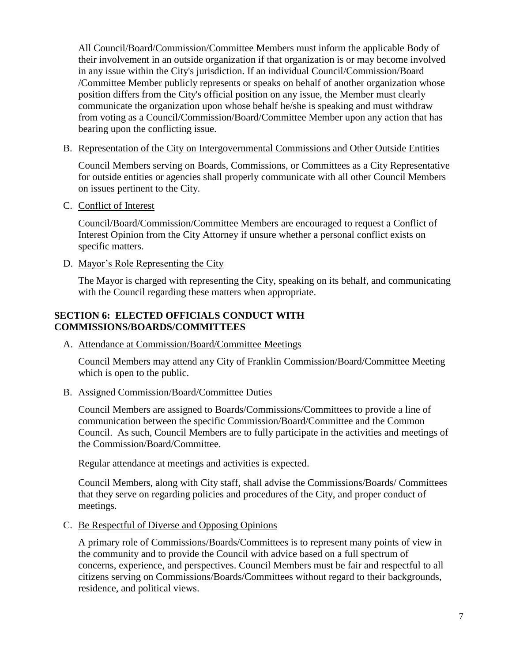All Council/Board/Commission/Committee Members must inform the applicable Body of their involvement in an outside organization if that organization is or may become involved in any issue within the City's jurisdiction. If an individual Council/Commission/Board /Committee Member publicly represents or speaks on behalf of another organization whose position differs from the City's official position on any issue, the Member must clearly communicate the organization upon whose behalf he/she is speaking and must withdraw from voting as a Council/Commission/Board/Committee Member upon any action that has bearing upon the conflicting issue.

B. Representation of the City on Intergovernmental Commissions and Other Outside Entities

Council Members serving on Boards, Commissions, or Committees as a City Representative for outside entities or agencies shall properly communicate with all other Council Members on issues pertinent to the City.

C. Conflict of Interest

Council/Board/Commission/Committee Members are encouraged to request a Conflict of Interest Opinion from the City Attorney if unsure whether a personal conflict exists on specific matters.

D. Mayor's Role Representing the City

The Mayor is charged with representing the City, speaking on its behalf, and communicating with the Council regarding these matters when appropriate.

## **SECTION 6: ELECTED OFFICIALS CONDUCT WITH COMMISSIONS/BOARDS/COMMITTEES**

A. Attendance at Commission/Board/Committee Meetings

Council Members may attend any City of Franklin Commission/Board/Committee Meeting which is open to the public.

B. Assigned Commission/Board/Committee Duties

Council Members are assigned to Boards/Commissions/Committees to provide a line of communication between the specific Commission/Board/Committee and the Common Council. As such, Council Members are to fully participate in the activities and meetings of the Commission/Board/Committee.

Regular attendance at meetings and activities is expected.

Council Members, along with City staff, shall advise the Commissions/Boards/ Committees that they serve on regarding policies and procedures of the City, and proper conduct of meetings.

C. Be Respectful of Diverse and Opposing Opinions

A primary role of Commissions/Boards/Committees is to represent many points of view in the community and to provide the Council with advice based on a full spectrum of concerns, experience, and perspectives. Council Members must be fair and respectful to all citizens serving on Commissions/Boards/Committees without regard to their backgrounds, residence, and political views.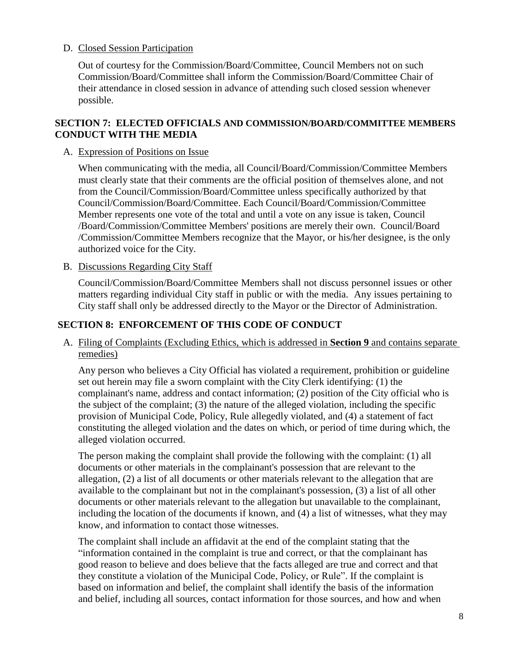## D. Closed Session Participation

Out of courtesy for the Commission/Board/Committee, Council Members not on such Commission/Board/Committee shall inform the Commission/Board/Committee Chair of their attendance in closed session in advance of attending such closed session whenever possible.

#### **SECTION 7: ELECTED OFFICIALS AND COMMISSION/BOARD/COMMITTEE MEMBERS CONDUCT WITH THE MEDIA**

#### A. Expression of Positions on Issue

When communicating with the media, all Council/Board/Commission/Committee Members must clearly state that their comments are the official position of themselves alone, and not from the Council/Commission/Board/Committee unless specifically authorized by that Council/Commission/Board/Committee. Each Council/Board/Commission/Committee Member represents one vote of the total and until a vote on any issue is taken, Council /Board/Commission/Committee Members' positions are merely their own. Council/Board /Commission/Committee Members recognize that the Mayor, or his/her designee, is the only authorized voice for the City.

B. Discussions Regarding City Staff

Council/Commission/Board/Committee Members shall not discuss personnel issues or other matters regarding individual City staff in public or with the media. Any issues pertaining to City staff shall only be addressed directly to the Mayor or the Director of Administration.

## **SECTION 8: ENFORCEMENT OF THIS CODE OF CONDUCT**

A. Filing of Complaints (Excluding Ethics, which is addressed in **Section 9** and contains separate remedies)

Any person who believes a City Official has violated a requirement, prohibition or guideline set out herein may file a sworn complaint with the City Clerk identifying: (1) the complainant's name, address and contact information; (2) position of the City official who is the subject of the complaint; (3) the nature of the alleged violation, including the specific provision of Municipal Code, Policy, Rule allegedly violated, and (4) a statement of fact constituting the alleged violation and the dates on which, or period of time during which, the alleged violation occurred.

The person making the complaint shall provide the following with the complaint: (1) all documents or other materials in the complainant's possession that are relevant to the allegation, (2) a list of all documents or other materials relevant to the allegation that are available to the complainant but not in the complainant's possession, (3) a list of all other documents or other materials relevant to the allegation but unavailable to the complainant, including the location of the documents if known, and (4) a list of witnesses, what they may know, and information to contact those witnesses.

The complaint shall include an affidavit at the end of the complaint stating that the "information contained in the complaint is true and correct, or that the complainant has good reason to believe and does believe that the facts alleged are true and correct and that they constitute a violation of the Municipal Code, Policy, or Rule". If the complaint is based on information and belief, the complaint shall identify the basis of the information and belief, including all sources, contact information for those sources, and how and when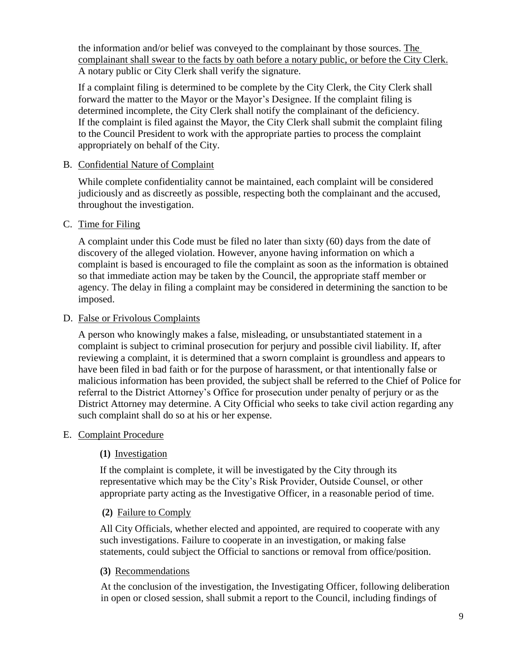the information and/or belief was conveyed to the complainant by those sources. The complainant shall swear to the facts by oath before a notary public, or before the City Clerk. A notary public or City Clerk shall verify the signature.

If a complaint filing is determined to be complete by the City Clerk, the City Clerk shall forward the matter to the Mayor or the Mayor's Designee. If the complaint filing is determined incomplete, the City Clerk shall notify the complainant of the deficiency. If the complaint is filed against the Mayor, the City Clerk shall submit the complaint filing to the Council President to work with the appropriate parties to process the complaint appropriately on behalf of the City.

#### B. Confidential Nature of Complaint

While complete confidentiality cannot be maintained, each complaint will be considered judiciously and as discreetly as possible, respecting both the complainant and the accused, throughout the investigation.

#### C. Time for Filing

A complaint under this Code must be filed no later than sixty (60) days from the date of discovery of the alleged violation. However, anyone having information on which a complaint is based is encouraged to file the complaint as soon as the information is obtained so that immediate action may be taken by the Council, the appropriate staff member or agency. The delay in filing a complaint may be considered in determining the sanction to be imposed.

#### D. False or Frivolous Complaints

A person who knowingly makes a false, misleading, or unsubstantiated statement in a complaint is subject to criminal prosecution for perjury and possible civil liability. If, after reviewing a complaint, it is determined that a sworn complaint is groundless and appears to have been filed in bad faith or for the purpose of harassment, or that intentionally false or malicious information has been provided, the subject shall be referred to the Chief of Police for referral to the District Attorney's Office for prosecution under penalty of perjury or as the District Attorney may determine. A City Official who seeks to take civil action regarding any such complaint shall do so at his or her expense.

## E. Complaint Procedure

## **(1)** Investigation

If the complaint is complete, it will be investigated by the City through its representative which may be the City's Risk Provider, Outside Counsel, or other appropriate party acting as the Investigative Officer, in a reasonable period of time.

## **(2)** Failure to Comply

All City Officials, whether elected and appointed, are required to cooperate with any such investigations. Failure to cooperate in an investigation, or making false statements, could subject the Official to sanctions or removal from office/position.

## **(3)** Recommendations

At the conclusion of the investigation, the Investigating Officer, following deliberation in open or closed session, shall submit a report to the Council, including findings of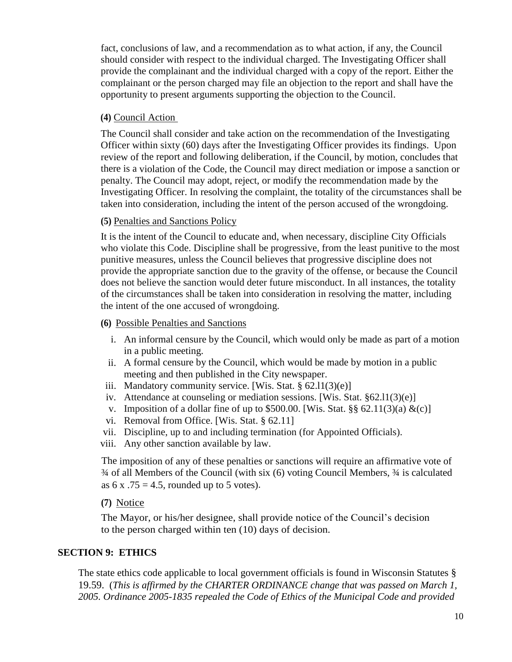fact, conclusions of law, and a recommendation as to what action, if any, the Council should consider with respect to the individual charged. The Investigating Officer shall provide the complainant and the individual charged with a copy of the report. Either the complainant or the person charged may file an objection to the report and shall have the opportunity to present arguments supporting the objection to the Council.

#### **(4)** Council Action

The Council shall consider and take action on the recommendation of the Investigating Officer within sixty (60) days after the Investigating Officer provides its findings. Upon review of the report and following deliberation, if the Council, by motion, concludes that there is a violation of the Code, the Council may direct mediation or impose a sanction or penalty. The Council may adopt, reject, or modify the recommendation made by the Investigating Officer. In resolving the complaint, the totality of the circumstances shall be taken into consideration, including the intent of the person accused of the wrongdoing.

#### **(5)** Penalties and Sanctions Policy

It is the intent of the Council to educate and, when necessary, discipline City Officials who violate this Code. Discipline shall be progressive, from the least punitive to the most punitive measures, unless the Council believes that progressive discipline does not provide the appropriate sanction due to the gravity of the offense, or because the Council does not believe the sanction would deter future misconduct. In all instances, the totality of the circumstances shall be taken into consideration in resolving the matter, including the intent of the one accused of wrongdoing.

#### **(6)** Possible Penalties and Sanctions

- i. An informal censure by the Council, which would only be made as part of a motion in a public meeting.
- ii. A formal censure by the Council, which would be made by motion in a public meeting and then published in the City newspaper.
- iii. Mandatory community service. [Wis. Stat.  $\S$  62.11(3)(e)]
- iv. Attendance at counseling or mediation sessions. [Wis. Stat. §62.l1(3)(e)]
- v. Imposition of a dollar fine of up to \$500.00. [Wis. Stat. §§ 62.11(3)(a)  $\&c)$ ]
- vi. Removal from Office. [Wis. Stat. § 62.11]
- vii. Discipline, up to and including termination (for Appointed Officials).
- viii. Any other sanction available by law.

The imposition of any of these penalties or sanctions will require an affirmative vote of ¾ of all Members of the Council (with six (6) voting Council Members, ¾ is calculated as  $6 \times .75 = 4.5$ , rounded up to 5 votes).

## **(7)** Notice

The Mayor, or his/her designee, shall provide notice of the Council's decision to the person charged within ten (10) days of decision.

#### **SECTION 9: ETHICS**

The state ethics code applicable to local government officials is found in Wisconsin Statutes § 19.59. (*This is affirmed by the CHARTER ORDINANCE change that was passed on March 1, 2005. Ordinance 2005-1835 repealed the Code of Ethics of the Municipal Code and provided*